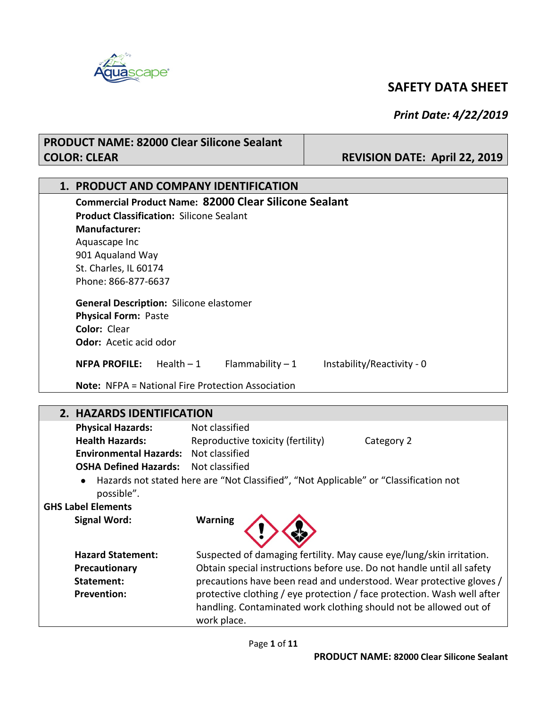

#### *Print Date: 4/22/2019*

### **PRODUCT NAME: 82000 Clear Silicone Sealant COLOR: CLEAR REVISION DATE: April 22, 2019 1. PRODUCT AND COMPANY IDENTIFICATION Commercial Product Name: 82000 Clear Silicone Sealant Product Classification:** Silicone Sealant **Manufacturer:** Aquascape Inc 901 Aqualand Way St. Charles, IL 60174 Phone: 866-877-6637 **General Description:** Silicone elastomer **Physical Form:** Paste **Color:** Clear **Odor:** Acetic acid odor

**NFPA PROFILE:** Health – 1 Flammability – 1 Instability/Reactivity - 0

**Note:** NFPA = National Fire Protection Association

| 2. HAZARDS IDENTIFICATION     |                                                                                                                                                             |
|-------------------------------|-------------------------------------------------------------------------------------------------------------------------------------------------------------|
| <b>Physical Hazards:</b>      | Not classified                                                                                                                                              |
| <b>Health Hazards:</b>        | Reproductive toxicity (fertility)<br>Category 2                                                                                                             |
| <b>Environmental Hazards:</b> | Not classified                                                                                                                                              |
| <b>OSHA Defined Hazards:</b>  | Not classified                                                                                                                                              |
| $\bullet$<br>possible".       | Hazards not stated here are "Not Classified", "Not Applicable" or "Classification not                                                                       |
| <b>GHS Label Elements</b>     |                                                                                                                                                             |
| <b>Signal Word:</b>           | <b>Warning</b>                                                                                                                                              |
| <b>Hazard Statement:</b>      | Suspected of damaging fertility. May cause eye/lung/skin irritation.                                                                                        |
| Precautionary                 | Obtain special instructions before use. Do not handle until all safety                                                                                      |
| Statement:                    | precautions have been read and understood. Wear protective gloves /                                                                                         |
| <b>Prevention:</b>            | protective clothing / eye protection / face protection. Wash well after<br>handling. Contaminated work clothing should not be allowed out of<br>work place. |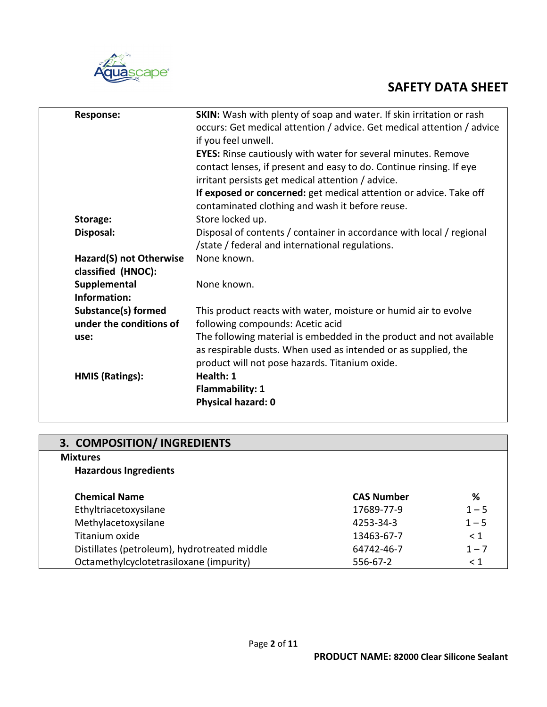

| <b>SKIN:</b> Wash with plenty of soap and water. If skin irritation or rash<br>occurs: Get medical attention / advice. Get medical attention / advice<br>if you feel unwell.<br><b>EYES:</b> Rinse cautiously with water for several minutes. Remove<br>contact lenses, if present and easy to do. Continue rinsing. If eye<br>irritant persists get medical attention / advice. |
|----------------------------------------------------------------------------------------------------------------------------------------------------------------------------------------------------------------------------------------------------------------------------------------------------------------------------------------------------------------------------------|
| If exposed or concerned: get medical attention or advice. Take off<br>contaminated clothing and wash it before reuse.                                                                                                                                                                                                                                                            |
| Store locked up.                                                                                                                                                                                                                                                                                                                                                                 |
| Disposal of contents / container in accordance with local / regional<br>/state / federal and international regulations.                                                                                                                                                                                                                                                          |
| None known.                                                                                                                                                                                                                                                                                                                                                                      |
| None known.                                                                                                                                                                                                                                                                                                                                                                      |
| This product reacts with water, moisture or humid air to evolve<br>following compounds: Acetic acid                                                                                                                                                                                                                                                                              |
| The following material is embedded in the product and not available<br>as respirable dusts. When used as intended or as supplied, the<br>product will not pose hazards. Titanium oxide.                                                                                                                                                                                          |
| Health: 1<br><b>Flammability: 1</b><br>Physical hazard: 0                                                                                                                                                                                                                                                                                                                        |
|                                                                                                                                                                                                                                                                                                                                                                                  |

| 3. COMPOSITION/ INGREDIENTS                  |                   |          |
|----------------------------------------------|-------------------|----------|
| <b>Mixtures</b>                              |                   |          |
| <b>Hazardous Ingredients</b>                 |                   |          |
| <b>Chemical Name</b>                         | <b>CAS Number</b> | %        |
| Ethyltriacetoxysilane                        | 17689-77-9        | $1 - 5$  |
| Methylacetoxysilane                          | 4253-34-3         | $1 - 5$  |
| Titanium oxide                               | 13463-67-7        | < 1      |
| Distillates (petroleum), hydrotreated middle | 64742-46-7        | $1 - 7$  |
| Octamethylcyclotetrasiloxane (impurity)      | 556-67-2          | $\leq 1$ |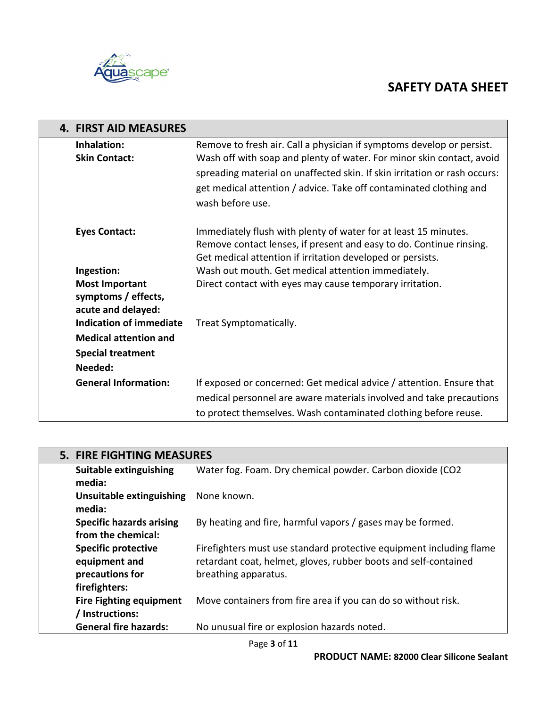



| <b>4. FIRST AID MEASURES</b>                                       |                                                                                                                                                                                                                                                                                                                       |
|--------------------------------------------------------------------|-----------------------------------------------------------------------------------------------------------------------------------------------------------------------------------------------------------------------------------------------------------------------------------------------------------------------|
| Inhalation:<br><b>Skin Contact:</b>                                | Remove to fresh air. Call a physician if symptoms develop or persist.<br>Wash off with soap and plenty of water. For minor skin contact, avoid<br>spreading material on unaffected skin. If skin irritation or rash occurs:<br>get medical attention / advice. Take off contaminated clothing and<br>wash before use. |
| <b>Eyes Contact:</b>                                               | Immediately flush with plenty of water for at least 15 minutes.<br>Remove contact lenses, if present and easy to do. Continue rinsing.<br>Get medical attention if irritation developed or persists.                                                                                                                  |
| Ingestion:                                                         | Wash out mouth. Get medical attention immediately.                                                                                                                                                                                                                                                                    |
| <b>Most Important</b><br>symptoms / effects,<br>acute and delayed: | Direct contact with eyes may cause temporary irritation.                                                                                                                                                                                                                                                              |
| <b>Indication of immediate</b>                                     | Treat Symptomatically.                                                                                                                                                                                                                                                                                                |
| <b>Medical attention and</b>                                       |                                                                                                                                                                                                                                                                                                                       |
| <b>Special treatment</b>                                           |                                                                                                                                                                                                                                                                                                                       |
| Needed:                                                            |                                                                                                                                                                                                                                                                                                                       |
| <b>General Information:</b>                                        | If exposed or concerned: Get medical advice / attention. Ensure that<br>medical personnel are aware materials involved and take precautions<br>to protect themselves. Wash contaminated clothing before reuse.                                                                                                        |

| <b>5. FIRE FIGHTING MEASURES</b>                                                |                                                                                                                                                                |
|---------------------------------------------------------------------------------|----------------------------------------------------------------------------------------------------------------------------------------------------------------|
| <b>Suitable extinguishing</b><br>media:                                         | Water fog. Foam. Dry chemical powder. Carbon dioxide (CO2                                                                                                      |
| Unsuitable extinguishing<br>media:                                              | None known.                                                                                                                                                    |
| <b>Specific hazards arising</b><br>from the chemical:                           | By heating and fire, harmful vapors / gases may be formed.                                                                                                     |
| <b>Specific protective</b><br>equipment and<br>precautions for<br>firefighters: | Firefighters must use standard protective equipment including flame<br>retardant coat, helmet, gloves, rubber boots and self-contained<br>breathing apparatus. |
| <b>Fire Fighting equipment</b><br>/ Instructions:                               | Move containers from fire area if you can do so without risk.                                                                                                  |
| <b>General fire hazards:</b>                                                    | No unusual fire or explosion hazards noted.                                                                                                                    |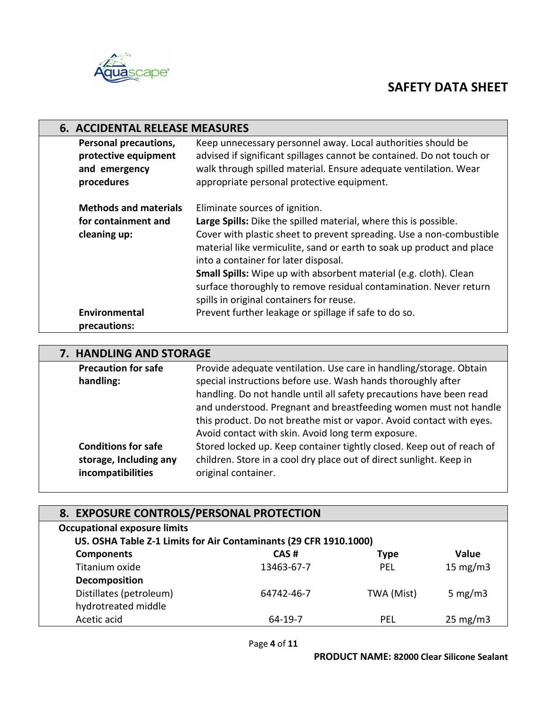

|                                                                                     | <b>6. ACCIDENTAL RELEASE MEASURES</b>                                                                                                                                                                                                                                                                                                                                                                                                                                             |  |  |
|-------------------------------------------------------------------------------------|-----------------------------------------------------------------------------------------------------------------------------------------------------------------------------------------------------------------------------------------------------------------------------------------------------------------------------------------------------------------------------------------------------------------------------------------------------------------------------------|--|--|
| <b>Personal precautions,</b><br>protective equipment<br>and emergency<br>procedures | Keep unnecessary personnel away. Local authorities should be<br>advised if significant spillages cannot be contained. Do not touch or<br>walk through spilled material. Ensure adequate ventilation. Wear<br>appropriate personal protective equipment.                                                                                                                                                                                                                           |  |  |
| <b>Methods and materials</b><br>for containment and<br>cleaning up:                 | Eliminate sources of ignition.<br>Large Spills: Dike the spilled material, where this is possible.<br>Cover with plastic sheet to prevent spreading. Use a non-combustible<br>material like vermiculite, sand or earth to soak up product and place<br>into a container for later disposal.<br>Small Spills: Wipe up with absorbent material (e.g. cloth). Clean<br>surface thoroughly to remove residual contamination. Never return<br>spills in original containers for reuse. |  |  |
| Environmental<br>precautions:                                                       | Prevent further leakage or spillage if safe to do so.                                                                                                                                                                                                                                                                                                                                                                                                                             |  |  |

|                            | 7. HANDLING AND STORAGE                                               |  |  |
|----------------------------|-----------------------------------------------------------------------|--|--|
| <b>Precaution for safe</b> | Provide adequate ventilation. Use care in handling/storage. Obtain    |  |  |
| handling:                  | special instructions before use. Wash hands thoroughly after          |  |  |
|                            | handling. Do not handle until all safety precautions have been read   |  |  |
|                            | and understood. Pregnant and breastfeeding women must not handle      |  |  |
|                            | this product. Do not breathe mist or vapor. Avoid contact with eyes.  |  |  |
|                            | Avoid contact with skin. Avoid long term exposure.                    |  |  |
| <b>Conditions for safe</b> | Stored locked up. Keep container tightly closed. Keep out of reach of |  |  |
| storage, Including any     | children. Store in a cool dry place out of direct sunlight. Keep in   |  |  |
| incompatibilities          | original container.                                                   |  |  |

| 8. EXPOSURE CONTROLS/PERSONAL PROTECTION                          |            |             |                   |
|-------------------------------------------------------------------|------------|-------------|-------------------|
| <b>Occupational exposure limits</b>                               |            |             |                   |
| US. OSHA Table Z-1 Limits for Air Contaminants (29 CFR 1910.1000) |            |             |                   |
| <b>Components</b>                                                 | CAS#       | <b>Type</b> | <b>Value</b>      |
| Titanium oxide                                                    | 13463-67-7 | <b>PEL</b>  | 15 $mg/m3$        |
| Decomposition                                                     |            |             |                   |
| Distillates (petroleum)                                           | 64742-46-7 | TWA (Mist)  | 5 mg/m $3$        |
| hydrotreated middle                                               |            |             |                   |
| Acetic acid                                                       | 64-19-7    | PEL         | $25 \text{ mg/m}$ |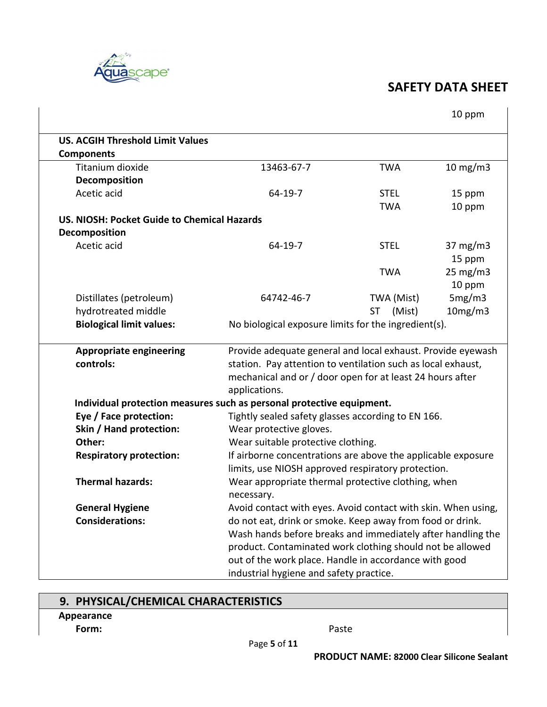

 $\hat{\mathbf{r}}$ 

|                                             |                                                                       |                                    | 10 ppm              |  |
|---------------------------------------------|-----------------------------------------------------------------------|------------------------------------|---------------------|--|
| <b>US. ACGIH Threshold Limit Values</b>     |                                                                       |                                    |                     |  |
| <b>Components</b>                           |                                                                       |                                    |                     |  |
| Titanium dioxide                            | 13463-67-7                                                            | <b>TWA</b>                         | $10 \text{ mg/m}$   |  |
| Decomposition                               |                                                                       |                                    |                     |  |
| Acetic acid                                 | $64-19-7$                                                             | <b>STEL</b>                        | 15 ppm              |  |
|                                             |                                                                       | <b>TWA</b>                         | 10 ppm              |  |
| US. NIOSH: Pocket Guide to Chemical Hazards |                                                                       |                                    |                     |  |
| Decomposition                               |                                                                       |                                    |                     |  |
| Acetic acid                                 | 64-19-7                                                               | <b>STEL</b>                        | $37 \text{ mg/m}$   |  |
|                                             |                                                                       |                                    | 15 ppm              |  |
|                                             |                                                                       | <b>TWA</b>                         | $25 \text{ mg/m}$ 3 |  |
|                                             |                                                                       |                                    | 10 ppm              |  |
| Distillates (petroleum)                     | 64742-46-7                                                            | TWA (Mist)                         | 5mg/m3              |  |
| hydrotreated middle                         |                                                                       | (Mist)<br><b>ST</b>                | 10mg/m3             |  |
| <b>Biological limit values:</b>             | No biological exposure limits for the ingredient(s).                  |                                    |                     |  |
| <b>Appropriate engineering</b>              | Provide adequate general and local exhaust. Provide eyewash           |                                    |                     |  |
| controls:                                   | station. Pay attention to ventilation such as local exhaust,          |                                    |                     |  |
|                                             | mechanical and or / door open for at least 24 hours after             |                                    |                     |  |
|                                             | applications.                                                         |                                    |                     |  |
|                                             | Individual protection measures such as personal protective equipment. |                                    |                     |  |
| Eye / Face protection:                      | Tightly sealed safety glasses according to EN 166.                    |                                    |                     |  |
| Skin / Hand protection:                     | Wear protective gloves.                                               |                                    |                     |  |
| Other:                                      |                                                                       | Wear suitable protective clothing. |                     |  |
| <b>Respiratory protection:</b>              | If airborne concentrations are above the applicable exposure          |                                    |                     |  |
|                                             | limits, use NIOSH approved respiratory protection.                    |                                    |                     |  |
| <b>Thermal hazards:</b>                     | Wear appropriate thermal protective clothing, when                    |                                    |                     |  |
|                                             | necessary.                                                            |                                    |                     |  |
| <b>General Hygiene</b>                      | Avoid contact with eyes. Avoid contact with skin. When using,         |                                    |                     |  |
| <b>Considerations:</b>                      | do not eat, drink or smoke. Keep away from food or drink.             |                                    |                     |  |
|                                             | Wash hands before breaks and immediately after handling the           |                                    |                     |  |
|                                             | product. Contaminated work clothing should not be allowed             |                                    |                     |  |
|                                             | out of the work place. Handle in accordance with good                 |                                    |                     |  |
|                                             | industrial hygiene and safety practice.                               |                                    |                     |  |

# **9. PHYSICAL/CHEMICAL CHARACTERISTICS**

**Appearance**

**Form:** Paste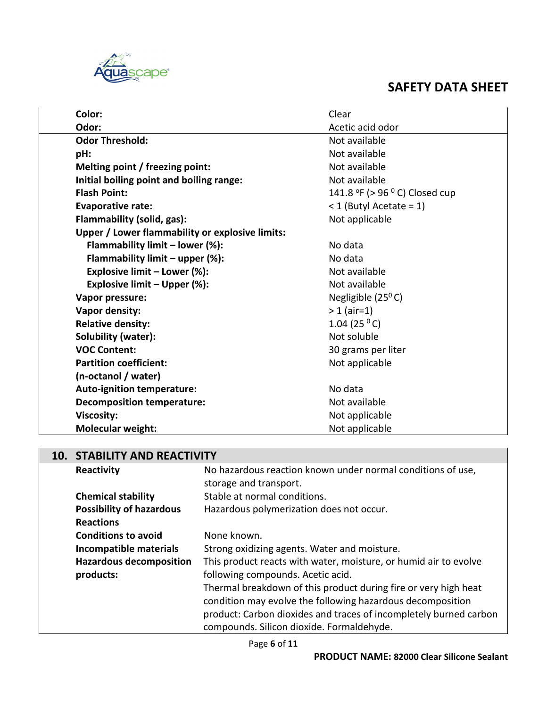

| Color:                                          | Clear                         |
|-------------------------------------------------|-------------------------------|
| Odor:                                           | Acetic acid odor              |
| <b>Odor Threshold:</b>                          | Not available                 |
| pH:                                             | Not available                 |
| Melting point / freezing point:                 | Not available                 |
| Initial boiling point and boiling range:        | Not available                 |
| <b>Flash Point:</b>                             | 141.8 °F (> 96 °C) Closed cup |
| <b>Evaporative rate:</b>                        | $<$ 1 (Butyl Acetate = 1)     |
| Flammability (solid, gas):                      | Not applicable                |
| Upper / Lower flammability or explosive limits: |                               |
| Flammability limit - lower (%):                 | No data                       |
| Flammability limit $-$ upper (%):               | No data                       |
| Explosive limit - Lower (%):                    | Not available                 |
| Explosive limit - Upper (%):                    | Not available                 |
| Vapor pressure:                                 | Negligible $(25^{\circ}C)$    |
| Vapor density:                                  | $> 1$ (air=1)                 |
| <b>Relative density:</b>                        | 1.04 (25 $^{\circ}$ C)        |
| Solubility (water):                             | Not soluble                   |
| <b>VOC Content:</b>                             | 30 grams per liter            |
| <b>Partition coefficient:</b>                   | Not applicable                |
| (n-octanol / water)                             |                               |
| <b>Auto-ignition temperature:</b>               | No data                       |
| <b>Decomposition temperature:</b>               | Not available                 |
| <b>Viscosity:</b>                               | Not applicable                |
| <b>Molecular weight:</b>                        | Not applicable                |

### **10. STABILITY AND REACTIVITY**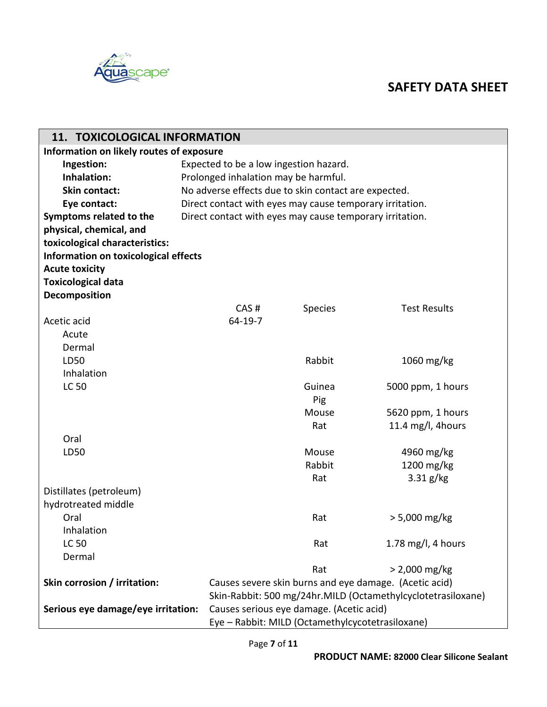

| 11. TOXICOLOGICAL INFORMATION                                                                                                                  |  |  |  |
|------------------------------------------------------------------------------------------------------------------------------------------------|--|--|--|
| Information on likely routes of exposure                                                                                                       |  |  |  |
| Ingestion:<br>Expected to be a low ingestion hazard.                                                                                           |  |  |  |
| Inhalation:<br>Prolonged inhalation may be harmful.                                                                                            |  |  |  |
| Skin contact:<br>No adverse effects due to skin contact are expected.                                                                          |  |  |  |
| Direct contact with eyes may cause temporary irritation.<br>Eye contact:                                                                       |  |  |  |
| Symptoms related to the<br>Direct contact with eyes may cause temporary irritation.                                                            |  |  |  |
| physical, chemical, and                                                                                                                        |  |  |  |
| toxicological characteristics:                                                                                                                 |  |  |  |
| Information on toxicological effects                                                                                                           |  |  |  |
| <b>Acute toxicity</b>                                                                                                                          |  |  |  |
| <b>Toxicological data</b>                                                                                                                      |  |  |  |
| Decomposition                                                                                                                                  |  |  |  |
| CAS#<br>Species<br><b>Test Results</b>                                                                                                         |  |  |  |
| $64 - 19 - 7$<br>Acetic acid                                                                                                                   |  |  |  |
| Acute                                                                                                                                          |  |  |  |
| Dermal                                                                                                                                         |  |  |  |
| Rabbit<br>1060 mg/kg<br>LD50                                                                                                                   |  |  |  |
| Inhalation                                                                                                                                     |  |  |  |
| <b>LC 50</b><br>Guinea<br>5000 ppm, 1 hours                                                                                                    |  |  |  |
| Pig                                                                                                                                            |  |  |  |
| Mouse<br>5620 ppm, 1 hours                                                                                                                     |  |  |  |
| 11.4 mg/l, 4hours<br>Rat                                                                                                                       |  |  |  |
| Oral                                                                                                                                           |  |  |  |
| Mouse<br>4960 mg/kg<br>LD50                                                                                                                    |  |  |  |
| Rabbit<br>1200 mg/kg                                                                                                                           |  |  |  |
| $3.31$ g/kg<br>Rat                                                                                                                             |  |  |  |
| Distillates (petroleum)                                                                                                                        |  |  |  |
| hydrotreated middle                                                                                                                            |  |  |  |
| $> 5,000$ mg/kg<br>Oral<br>Rat                                                                                                                 |  |  |  |
| Inhalation                                                                                                                                     |  |  |  |
| <b>LC 50</b><br>1.78 mg/l, 4 hours<br>Rat                                                                                                      |  |  |  |
| Dermal                                                                                                                                         |  |  |  |
| $> 2,000$ mg/kg<br>Rat                                                                                                                         |  |  |  |
|                                                                                                                                                |  |  |  |
|                                                                                                                                                |  |  |  |
| Skin corrosion / irritation:<br>Causes severe skin burns and eye damage. (Acetic acid)                                                         |  |  |  |
| Skin-Rabbit: 500 mg/24hr.MILD (Octamethylcyclotetrasiloxane)<br>Serious eye damage/eye irritation:<br>Causes serious eye damage. (Acetic acid) |  |  |  |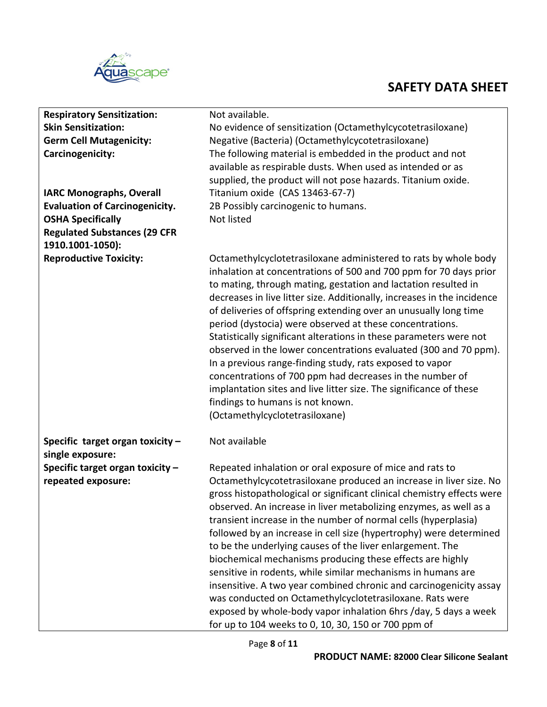

| <b>Respiratory Sensitization:</b>                    | Not available.                                                                                                                                                                                                                                                                                                                                                                                                                                                                                                                                                                                                                                                                                                                                                                                                                  |  |  |  |  |
|------------------------------------------------------|---------------------------------------------------------------------------------------------------------------------------------------------------------------------------------------------------------------------------------------------------------------------------------------------------------------------------------------------------------------------------------------------------------------------------------------------------------------------------------------------------------------------------------------------------------------------------------------------------------------------------------------------------------------------------------------------------------------------------------------------------------------------------------------------------------------------------------|--|--|--|--|
| <b>Skin Sensitization:</b>                           | No evidence of sensitization (Octamethylcycotetrasiloxane)                                                                                                                                                                                                                                                                                                                                                                                                                                                                                                                                                                                                                                                                                                                                                                      |  |  |  |  |
| <b>Germ Cell Mutagenicity:</b>                       | Negative (Bacteria) (Octamethylcycotetrasiloxane)                                                                                                                                                                                                                                                                                                                                                                                                                                                                                                                                                                                                                                                                                                                                                                               |  |  |  |  |
| Carcinogenicity:                                     | The following material is embedded in the product and not                                                                                                                                                                                                                                                                                                                                                                                                                                                                                                                                                                                                                                                                                                                                                                       |  |  |  |  |
|                                                      | available as respirable dusts. When used as intended or as                                                                                                                                                                                                                                                                                                                                                                                                                                                                                                                                                                                                                                                                                                                                                                      |  |  |  |  |
|                                                      | supplied, the product will not pose hazards. Titanium oxide.                                                                                                                                                                                                                                                                                                                                                                                                                                                                                                                                                                                                                                                                                                                                                                    |  |  |  |  |
| <b>IARC Monographs, Overall</b>                      | Titanium oxide (CAS 13463-67-7)                                                                                                                                                                                                                                                                                                                                                                                                                                                                                                                                                                                                                                                                                                                                                                                                 |  |  |  |  |
| <b>Evaluation of Carcinogenicity.</b>                | 2B Possibly carcinogenic to humans.                                                                                                                                                                                                                                                                                                                                                                                                                                                                                                                                                                                                                                                                                                                                                                                             |  |  |  |  |
| <b>OSHA Specifically</b>                             | Not listed                                                                                                                                                                                                                                                                                                                                                                                                                                                                                                                                                                                                                                                                                                                                                                                                                      |  |  |  |  |
| <b>Regulated Substances (29 CFR</b>                  |                                                                                                                                                                                                                                                                                                                                                                                                                                                                                                                                                                                                                                                                                                                                                                                                                                 |  |  |  |  |
| 1910.1001-1050):                                     |                                                                                                                                                                                                                                                                                                                                                                                                                                                                                                                                                                                                                                                                                                                                                                                                                                 |  |  |  |  |
| <b>Reproductive Toxicity:</b>                        | Octamethylcyclotetrasiloxane administered to rats by whole body<br>inhalation at concentrations of 500 and 700 ppm for 70 days prior<br>to mating, through mating, gestation and lactation resulted in<br>decreases in live litter size. Additionally, increases in the incidence<br>of deliveries of offspring extending over an unusually long time<br>period (dystocia) were observed at these concentrations.<br>Statistically significant alterations in these parameters were not<br>observed in the lower concentrations evaluated (300 and 70 ppm).<br>In a previous range-finding study, rats exposed to vapor<br>concentrations of 700 ppm had decreases in the number of<br>implantation sites and live litter size. The significance of these<br>findings to humans is not known.<br>(Octamethylcyclotetrasiloxane) |  |  |  |  |
| Specific target organ toxicity -<br>single exposure: | Not available                                                                                                                                                                                                                                                                                                                                                                                                                                                                                                                                                                                                                                                                                                                                                                                                                   |  |  |  |  |
| Specific target organ toxicity -                     | Repeated inhalation or oral exposure of mice and rats to                                                                                                                                                                                                                                                                                                                                                                                                                                                                                                                                                                                                                                                                                                                                                                        |  |  |  |  |
| repeated exposure:                                   | Octamethylcycotetrasiloxane produced an increase in liver size. No<br>gross histopathological or significant clinical chemistry effects were<br>observed. An increase in liver metabolizing enzymes, as well as a<br>transient increase in the number of normal cells (hyperplasia)<br>followed by an increase in cell size (hypertrophy) were determined<br>to be the underlying causes of the liver enlargement. The<br>biochemical mechanisms producing these effects are highly<br>sensitive in rodents, while similar mechanisms in humans are<br>insensitive. A two year combined chronic and carcinogenicity assay<br>was conducted on Octamethylcyclotetrasiloxane. Rats were<br>exposed by whole-body vapor inhalation 6hrs /day, 5 days a week<br>for up to 104 weeks to 0, 10, 30, 150 or 700 ppm of                 |  |  |  |  |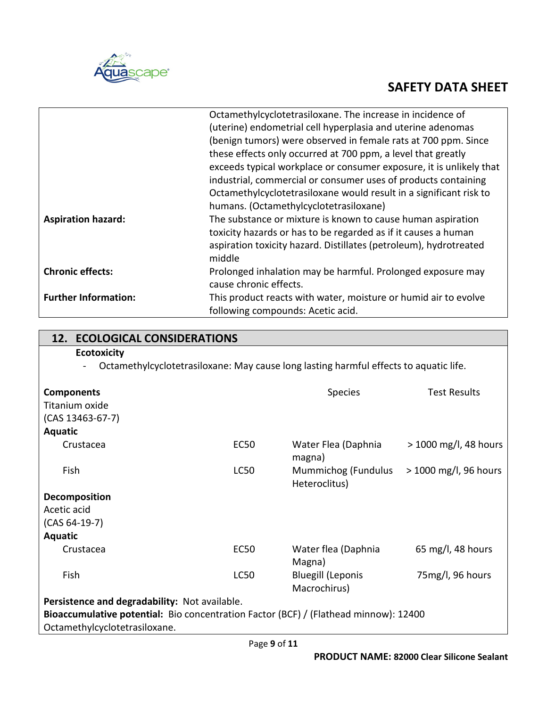

|                             | Octamethylcyclotetrasiloxane. The increase in incidence of          |
|-----------------------------|---------------------------------------------------------------------|
|                             | (uterine) endometrial cell hyperplasia and uterine adenomas         |
|                             | (benign tumors) were observed in female rats at 700 ppm. Since      |
|                             | these effects only occurred at 700 ppm, a level that greatly        |
|                             | exceeds typical workplace or consumer exposure, it is unlikely that |
|                             | industrial, commercial or consumer uses of products containing      |
|                             | Octamethylcyclotetrasiloxane would result in a significant risk to  |
|                             | humans. (Octamethylcyclotetrasiloxane)                              |
| <b>Aspiration hazard:</b>   | The substance or mixture is known to cause human aspiration         |
|                             | toxicity hazards or has to be regarded as if it causes a human      |
|                             | aspiration toxicity hazard. Distillates (petroleum), hydrotreated   |
|                             | middle                                                              |
| <b>Chronic effects:</b>     | Prolonged inhalation may be harmful. Prolonged exposure may         |
|                             | cause chronic effects.                                              |
| <b>Further Information:</b> | This product reacts with water, moisture or humid air to evolve     |
|                             | following compounds: Acetic acid.                                   |

| <b>12. ECOLOGICAL CONSIDERATIONS</b>                                                  |             |                                          |                       |  |  |  |
|---------------------------------------------------------------------------------------|-------------|------------------------------------------|-----------------------|--|--|--|
| <b>Ecotoxicity</b>                                                                    |             |                                          |                       |  |  |  |
| Octamethylcyclotetrasiloxane: May cause long lasting harmful effects to aquatic life. |             |                                          |                       |  |  |  |
|                                                                                       |             |                                          |                       |  |  |  |
| <b>Components</b>                                                                     |             | <b>Species</b>                           | <b>Test Results</b>   |  |  |  |
| Titanium oxide                                                                        |             |                                          |                       |  |  |  |
| $(CAS 13463-67-7)$                                                                    |             |                                          |                       |  |  |  |
| <b>Aquatic</b>                                                                        |             |                                          |                       |  |  |  |
| Crustacea                                                                             | <b>EC50</b> | Water Flea (Daphnia<br>magna)            | > 1000 mg/l, 48 hours |  |  |  |
| Fish                                                                                  | <b>LC50</b> | Mummichog (Fundulus<br>Heteroclitus)     | > 1000 mg/l, 96 hours |  |  |  |
| Decomposition                                                                         |             |                                          |                       |  |  |  |
| Acetic acid                                                                           |             |                                          |                       |  |  |  |
| $(CAS 64-19-7)$                                                                       |             |                                          |                       |  |  |  |
| <b>Aquatic</b>                                                                        |             |                                          |                       |  |  |  |
| Crustacea                                                                             | <b>EC50</b> | Water flea (Daphnia<br>Magna)            | 65 mg/l, 48 hours     |  |  |  |
| Fish                                                                                  | <b>LC50</b> | <b>Bluegill (Leponis</b><br>Macrochirus) | 75mg/l, 96 hours      |  |  |  |
| Persistence and degradability: Not available.                                         |             |                                          |                       |  |  |  |
| Bioaccumulative potential: Bio concentration Factor (BCF) / (Flathead minnow): 12400  |             |                                          |                       |  |  |  |
| Octamethylcyclotetrasiloxane.                                                         |             |                                          |                       |  |  |  |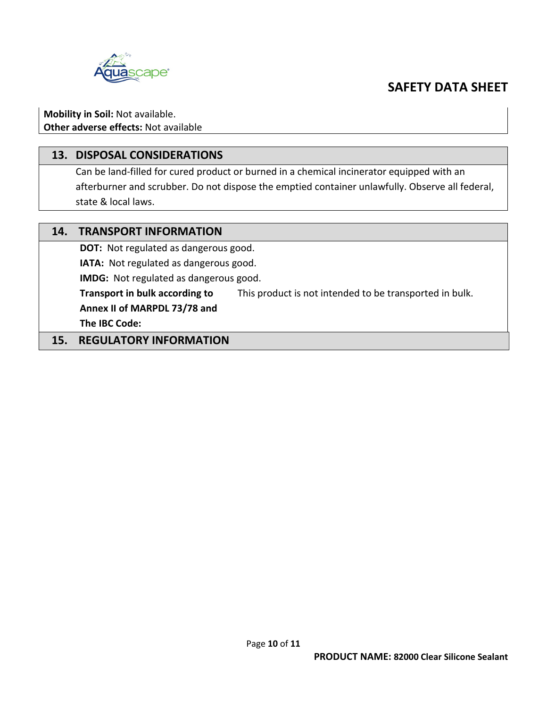

**Mobility in Soil:** Not available. **Other adverse effects:** Not available

#### **13. DISPOSAL CONSIDERATIONS**

Can be land-filled for cured product or burned in a chemical incinerator equipped with an afterburner and scrubber. Do not dispose the emptied container unlawfully. Observe all federal, state & local laws.

| 14. | <b>TRANSPORT INFORMATION</b>                                                              |  |  |
|-----|-------------------------------------------------------------------------------------------|--|--|
|     | <b>DOT:</b> Not regulated as dangerous good.                                              |  |  |
|     | IATA: Not regulated as dangerous good.                                                    |  |  |
|     | IMDG: Not regulated as dangerous good.                                                    |  |  |
|     | Transport in bulk according to<br>This product is not intended to be transported in bulk. |  |  |
|     | Annex II of MARPDL 73/78 and                                                              |  |  |
|     | The IBC Code:                                                                             |  |  |
|     | <b>REGULATORY INFORMATION</b>                                                             |  |  |